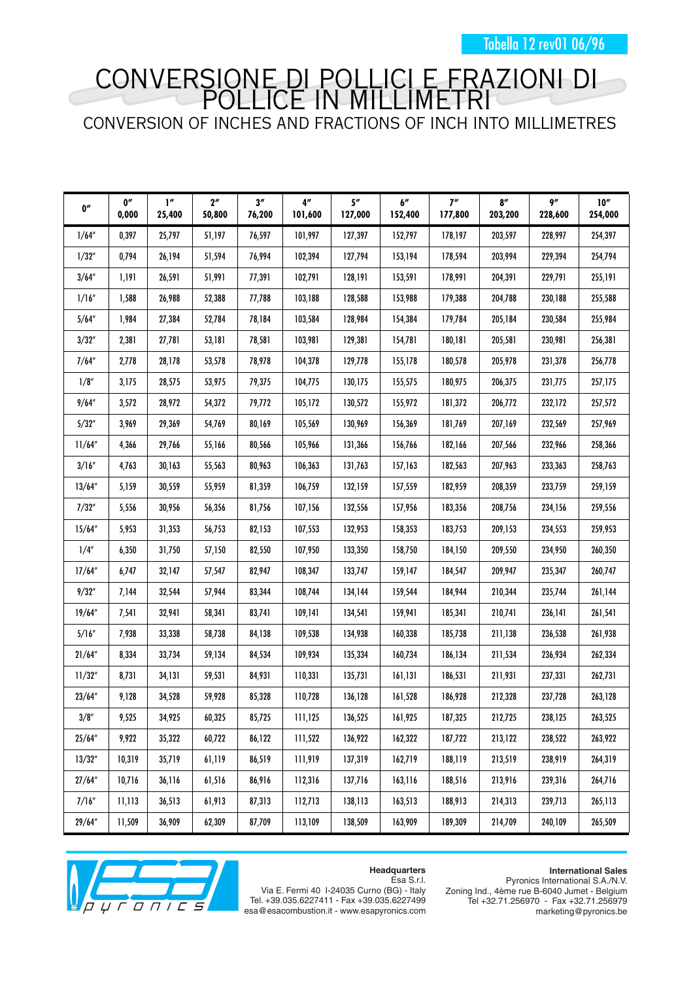Tabella 12 rev01 06/96

## CONVERSIONE DI POLLICI E FRAZIONI DI POLLICE IN MILLIMETRI CONVERSION OF INCHES AND FRACTIONS OF INCH INTO MILLIMETRES

| 0''     | 0''<br>0,000 | $\mathbf{I}''$<br>25,400 | 2 <sup>n</sup><br>50,800 | 3''<br>76,200 | 4''<br>101,600 | 5''<br>127,000 | $b^{\prime\prime}$<br>152,400 | 7''<br>177,800 | 8''<br>203,200 | 9''<br>228,600 | 10''<br>254,000 |
|---------|--------------|--------------------------|--------------------------|---------------|----------------|----------------|-------------------------------|----------------|----------------|----------------|-----------------|
| 1/64''  | 0,397        | 25,797                   | 51,197                   | 76,597        | 101,997        | 127,397        | 152,797                       | 178,197        | 203,597        | 228,997        | 254,397         |
| 1/32''  | 0,794        | 26,194                   | 51,594                   | 76,994        | 102,394        | 127,794        | 153,194                       | 178,594        | 203,994        | 229,394        | 254,794         |
| 3/64''  | 1,191        | 26,591                   | 51,991                   | 77,391        | 102,791        | 128,191        | 153,591                       | 178,991        | 204,391        | 229,791        | 255,191         |
| 1/16"   | 1,588        | 26,988                   | 52,388                   | 77,788        | 103,188        | 128,588        | 153,988                       | 179,388        | 204,788        | 230,188        | 255,588         |
| 5/64''  | 1,984        | 27,384                   | 52,784                   | 78,184        | 103,584        | 128,984        | 154,384                       | 179,784        | 205,184        | 230,584        | 255,984         |
| 3/32"   | 2,381        | 27,781                   | 53,181                   | 78,581        | 103,981        | 129,381        | 154,781                       | 180,181        | 205,581        | 230,981        | 256,381         |
| 7/64''  | 2,778        | 28,178                   | 53,578                   | 78,978        | 104,378        | 129,778        | 155,178                       | 180,578        | 205,978        | 231,378        | 256,778         |
| 1/8"    | 3,175        | 28,575                   | 53,975                   | 79,375        | 104,775        | 130,175        | 155,575                       | 180,975        | 206,375        | 231,775        | 257,175         |
| 9/64''  | 3,572        | 28,972                   | 54,372                   | 79,772        | 105,172        | 130,572        | 155,972                       | 181,372        | 206,772        | 232,172        | 257,572         |
| 5/32"   | 3,969        | 29,369                   | 54,769                   | 80,169        | 105,569        | 130,969        | 156,369                       | 181,769        | 207,169        | 232,569        | 257,969         |
| 11/64"  | 4,366        | 29,766                   | 55,166                   | 80,566        | 105,966        | 131,366        | 156,766                       | 182,166        | 207,566        | 232,966        | 258,366         |
| 3/16''  | 4,763        | 30,163                   | 55,563                   | 80,963        | 106,363        | 131,763        | 157,163                       | 182,563        | 207,963        | 233,363        | 258,763         |
| 13/64'' | 5,159        | 30,559                   | 55,959                   | 81,359        | 106,759        | 132,159        | 157,559                       | 182,959        | 208,359        | 233,759        | 259,159         |
| 7/32"   | 5,556        | 30,956                   | 56,356                   | 81,756        | 107,156        | 132,556        | 157,956                       | 183,356        | 208,756        | 234,156        | 259,556         |
| 15/64'' | 5,953        | 31,353                   | 56,753                   | 82,153        | 107,553        | 132,953        | 158,353                       | 183,753        | 209,153        | 234,553        | 259,953         |
| 1/4"    | 6,350        | 31,750                   | 57,150                   | 82,550        | 107,950        | 133,350        | 158,750                       | 184,150        | 209,550        | 234,950        | 260,350         |
| 17/64'' | 6,747        | 32,147                   | 57,547                   | 82,947        | 108,347        | 133,747        | 159,147                       | 184,547        | 209,947        | 235,347        | 260,747         |
| 9/32''  | 7,144        | 32,544                   | 57,944                   | 83,344        | 108,744        | 134,144        | 159,544                       | 184,944        | 210,344        | 235,744        | 261,144         |
| 19/64'' | 7,541        | 32,941                   | 58,341                   | 83,741        | 109,141        | 134,541        | 159,941                       | 185,341        | 210,741        | 236,141        | 261,541         |
| 5/16''  | 7,938        | 33,338                   | 58,738                   | 84,138        | 109,538        | 134,938        | 160,338                       | 185,738        | 211,138        | 236,538        | 261,938         |
| 21/64"  | 8,334        | 33,734                   | 59,134                   | 84,534        | 109,934        | 135,334        | 160,734                       | 186,134        | 211,534        | 236,934        | 262,334         |
| 11/32'' | 8,731        | 34,131                   | 59,531                   | 84,931        | 110,331        | 135,731        | 161,131                       | 186,531        | 211,931        | 237,331        | 262,731         |
| 23/64'' | 9,128        | 34,528                   | 59,928                   | 85,328        | 110,728        | 136,128        | 161,528                       | 186,928        | 212,328        | 237,728        | 263,128         |
| 3/8''   | 9,525        | 34,925                   | 60,325                   | 85,725        | 111,125        | 136,525        | 161,925                       | 187,325        | 212,725        | 238,125        | 263,525         |
| 25/64"  | 9,922        | 35,322                   | 60,722                   | 86,122        | 111,522        | 136,922        | 162,322                       | 187,722        | 213,122        | 238,522        | 263,922         |
| 13/32'' | 10,319       | 35,719                   | 61,119                   | 86,519        | 111,919        | 137,319        | 162,719                       | 188,119        | 213,519        | 238,919        | 264,319         |
| 27/64'' | 10,716       | 36,116                   | 61,516                   | 86,916        | 112,316        | 137,716        | 163,116                       | 188,516        | 213,916        | 239,316        | 264,716         |
| 7/16''  | 11,113       | 36,513                   | 61,913                   | 87,313        | 112,713        | 138,113        | 163,513                       | 188,913        | 214,313        | 239,713        | 265,113         |
| 29/64'' | 11,509       | 36,909                   | 62,309                   | 87,709        | 113,109        | 138,509        | 163,909                       | 189,309        | 214,709        | 240,109        | 265,509         |



Pyronics International S.A./N.V. Zoning Ind., 4ème rue B-6040 Jumet - Belgium Tel +32.71.256970 - Fax +32.71.256979 marketing@pyronics.be





Via E. Fermi 40 I-24035 Curno (BG) - Italy Tel. +39.035.6227411 - Fax +39.035.6227499 esa@esacombustion.it - www.esapyronics.com